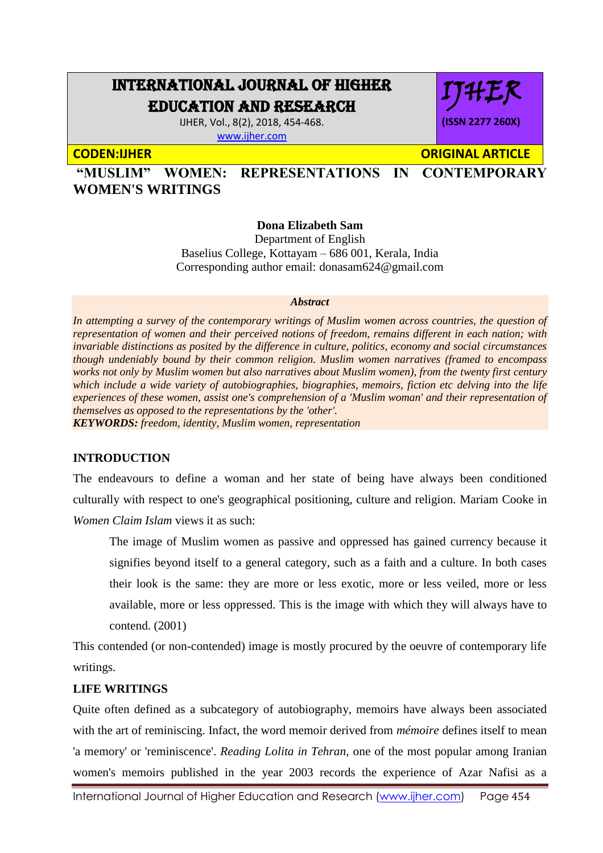# INTERNATIONAL JOURNAL OF HIGHER

# EDUCATION AND RESEARCH

IJHER, Vol., 8(2), 2018, 454-468.

[www.ijher.com](http://www.ijher.com/)

**CODEN:IJHER ORIGINAL ARTICLE** 

**"MUSLIM" WOMEN: REPRESENTATIONS IN CONTEMPORARY WOMEN'S WRITINGS**

## **Dona Elizabeth Sam**

Department of English Baselius College, Kottayam – 686 001, Kerala, India Corresponding author email: donasam624@gmail.com

## *Abstract*

*In attempting a survey of the contemporary writings of Muslim women across countries, the question of representation of women and their perceived notions of freedom, remains different in each nation; with invariable distinctions as posited by the difference in culture, politics, economy and social circumstances though undeniably bound by their common religion. Muslim women narratives (framed to encompass works not only by Muslim women but also narratives about Muslim women), from the twenty first century which include a wide variety of autobiographies, biographies, memoirs, fiction etc delving into the life experiences of these women, assist one's comprehension of a 'Muslim woman' and their representation of themselves as opposed to the representations by the 'other'. KEYWORDS: freedom, identity, Muslim women, representation*

#### **INTRODUCTION**

The endeavours to define a woman and her state of being have always been conditioned culturally with respect to one's geographical positioning, culture and religion. Mariam Cooke in *Women Claim Islam* views it as such:

The image of Muslim women as passive and oppressed has gained currency because it signifies beyond itself to a general category, such as a faith and a culture. In both cases their look is the same: they are more or less exotic, more or less veiled, more or less available, more or less oppressed. This is the image with which they will always have to contend. (2001)

This contended (or non-contended) image is mostly procured by the oeuvre of contemporary life writings.

## **LIFE WRITINGS**

Quite often defined as a subcategory of autobiography, memoirs have always been associated with the art of reminiscing. Infact, the word memoir derived from *mémoire* defines itself to mean 'a memory' or 'reminiscence'. *Reading Lolita in Tehran,* one of the most popular among Iranian women's memoirs published in the year 2003 records the experience of Azar Nafisi as a

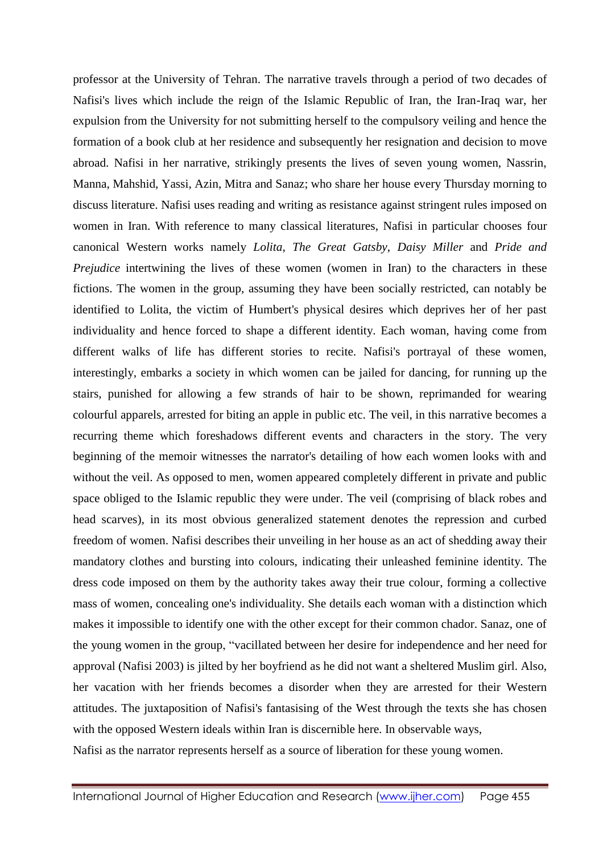professor at the University of Tehran. The narrative travels through a period of two decades of Nafisi's lives which include the reign of the Islamic Republic of Iran, the Iran-Iraq war, her expulsion from the University for not submitting herself to the compulsory veiling and hence the formation of a book club at her residence and subsequently her resignation and decision to move abroad. Nafisi in her narrative, strikingly presents the lives of seven young women, Nassrin, Manna, Mahshid, Yassi, Azin, Mitra and Sanaz; who share her house every Thursday morning to discuss literature. Nafisi uses reading and writing as resistance against stringent rules imposed on women in Iran. With reference to many classical literatures, Nafisi in particular chooses four canonical Western works namely *Lolita*, *The Great Gatsby*, *Daisy Miller* and *Pride and Prejudice* intertwining the lives of these women (women in Iran) to the characters in these fictions. The women in the group, assuming they have been socially restricted, can notably be identified to Lolita, the victim of Humbert's physical desires which deprives her of her past individuality and hence forced to shape a different identity. Each woman, having come from different walks of life has different stories to recite. Nafisi's portrayal of these women, interestingly, embarks a society in which women can be jailed for dancing, for running up the stairs, punished for allowing a few strands of hair to be shown, reprimanded for wearing colourful apparels, arrested for biting an apple in public etc. The veil, in this narrative becomes a recurring theme which foreshadows different events and characters in the story. The very beginning of the memoir witnesses the narrator's detailing of how each women looks with and without the veil. As opposed to men, women appeared completely different in private and public space obliged to the Islamic republic they were under. The veil (comprising of black robes and head scarves), in its most obvious generalized statement denotes the repression and curbed freedom of women. Nafisi describes their unveiling in her house as an act of shedding away their mandatory clothes and bursting into colours, indicating their unleashed feminine identity. The dress code imposed on them by the authority takes away their true colour, forming a collective mass of women, concealing one's individuality. She details each woman with a distinction which makes it impossible to identify one with the other except for their common chador. Sanaz, one of the young women in the group, "vacillated between her desire for independence and her need for approval (Nafisi 2003) is jilted by her boyfriend as he did not want a sheltered Muslim girl. Also, her vacation with her friends becomes a disorder when they are arrested for their Western attitudes. The juxtaposition of Nafisi's fantasising of the West through the texts she has chosen with the opposed Western ideals within Iran is discernible here. In observable ways, Nafisi as the narrator represents herself as a source of liberation for these young women.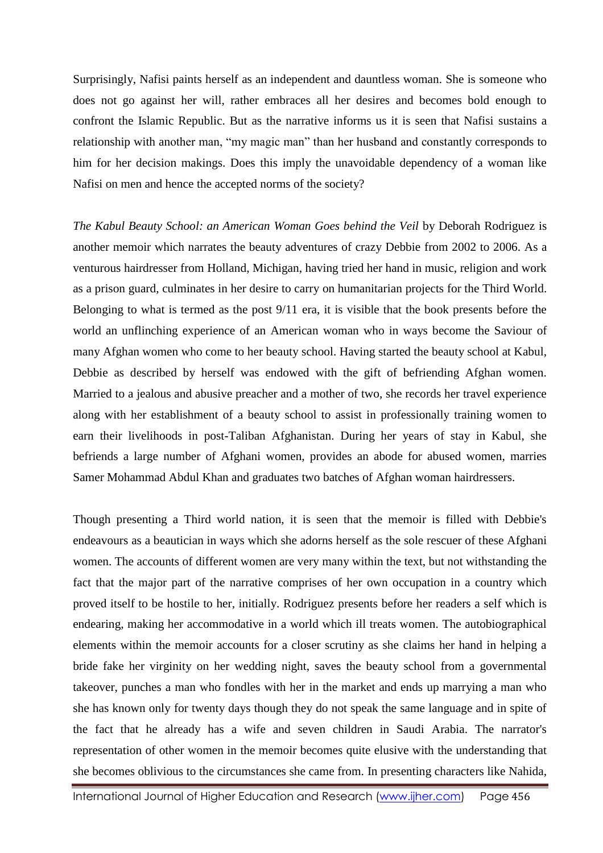Surprisingly, Nafisi paints herself as an independent and dauntless woman. She is someone who does not go against her will, rather embraces all her desires and becomes bold enough to confront the Islamic Republic. But as the narrative informs us it is seen that Nafisi sustains a relationship with another man, "my magic man" than her husband and constantly corresponds to him for her decision makings. Does this imply the unavoidable dependency of a woman like Nafisi on men and hence the accepted norms of the society?

*The Kabul Beauty School: an American Woman Goes behind the Veil* by Deborah Rodriguez is another memoir which narrates the beauty adventures of crazy Debbie from 2002 to 2006. As a venturous hairdresser from Holland, Michigan, having tried her hand in music, religion and work as a prison guard, culminates in her desire to carry on humanitarian projects for the Third World. Belonging to what is termed as the post 9/11 era, it is visible that the book presents before the world an unflinching experience of an American woman who in ways become the Saviour of many Afghan women who come to her beauty school. Having started the beauty school at Kabul, Debbie as described by herself was endowed with the gift of befriending Afghan women. Married to a jealous and abusive preacher and a mother of two, she records her travel experience along with her establishment of a beauty school to assist in professionally training women to earn their livelihoods in post-Taliban Afghanistan. During her years of stay in Kabul, she befriends a large number of Afghani women, provides an abode for abused women, marries Samer Mohammad Abdul Khan and graduates two batches of Afghan woman hairdressers.

Though presenting a Third world nation, it is seen that the memoir is filled with Debbie's endeavours as a beautician in ways which she adorns herself as the sole rescuer of these Afghani women. The accounts of different women are very many within the text, but not withstanding the fact that the major part of the narrative comprises of her own occupation in a country which proved itself to be hostile to her, initially. Rodriguez presents before her readers a self which is endearing, making her accommodative in a world which ill treats women. The autobiographical elements within the memoir accounts for a closer scrutiny as she claims her hand in helping a bride fake her virginity on her wedding night, saves the beauty school from a governmental takeover, punches a man who fondles with her in the market and ends up marrying a man who she has known only for twenty days though they do not speak the same language and in spite of the fact that he already has a wife and seven children in Saudi Arabia. The narrator's representation of other women in the memoir becomes quite elusive with the understanding that she becomes oblivious to the circumstances she came from. In presenting characters like Nahida,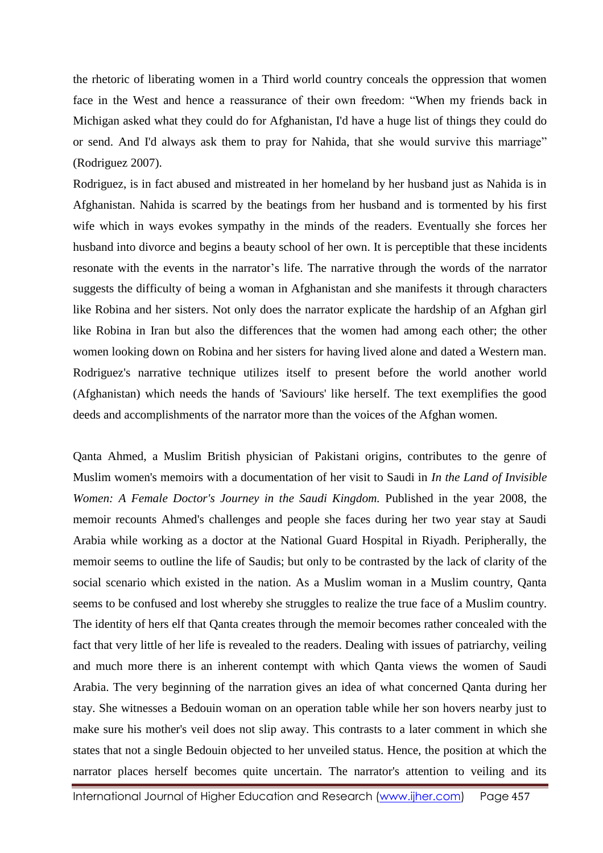the rhetoric of liberating women in a Third world country conceals the oppression that women face in the West and hence a reassurance of their own freedom: "When my friends back in Michigan asked what they could do for Afghanistan, I'd have a huge list of things they could do or send. And I'd always ask them to pray for Nahida, that she would survive this marriage" (Rodriguez 2007).

Rodriguez, is in fact abused and mistreated in her homeland by her husband just as Nahida is in Afghanistan. Nahida is scarred by the beatings from her husband and is tormented by his first wife which in ways evokes sympathy in the minds of the readers. Eventually she forces her husband into divorce and begins a beauty school of her own. It is perceptible that these incidents resonate with the events in the narrator's life. The narrative through the words of the narrator suggests the difficulty of being a woman in Afghanistan and she manifests it through characters like Robina and her sisters. Not only does the narrator explicate the hardship of an Afghan girl like Robina in Iran but also the differences that the women had among each other; the other women looking down on Robina and her sisters for having lived alone and dated a Western man. Rodriguez's narrative technique utilizes itself to present before the world another world (Afghanistan) which needs the hands of 'Saviours' like herself. The text exemplifies the good deeds and accomplishments of the narrator more than the voices of the Afghan women.

Qanta Ahmed, a Muslim British physician of Pakistani origins, contributes to the genre of Muslim women's memoirs with a documentation of her visit to Saudi in *In the Land of Invisible Women: A Female Doctor's Journey in the Saudi Kingdom.* Published in the year 2008, the memoir recounts Ahmed's challenges and people she faces during her two year stay at Saudi Arabia while working as a doctor at the National Guard Hospital in Riyadh. Peripherally, the memoir seems to outline the life of Saudis; but only to be contrasted by the lack of clarity of the social scenario which existed in the nation. As a Muslim woman in a Muslim country, Qanta seems to be confused and lost whereby she struggles to realize the true face of a Muslim country. The identity of hers elf that Qanta creates through the memoir becomes rather concealed with the fact that very little of her life is revealed to the readers. Dealing with issues of patriarchy, veiling and much more there is an inherent contempt with which Qanta views the women of Saudi Arabia. The very beginning of the narration gives an idea of what concerned Qanta during her stay. She witnesses a Bedouin woman on an operation table while her son hovers nearby just to make sure his mother's veil does not slip away. This contrasts to a later comment in which she states that not a single Bedouin objected to her unveiled status. Hence, the position at which the narrator places herself becomes quite uncertain. The narrator's attention to veiling and its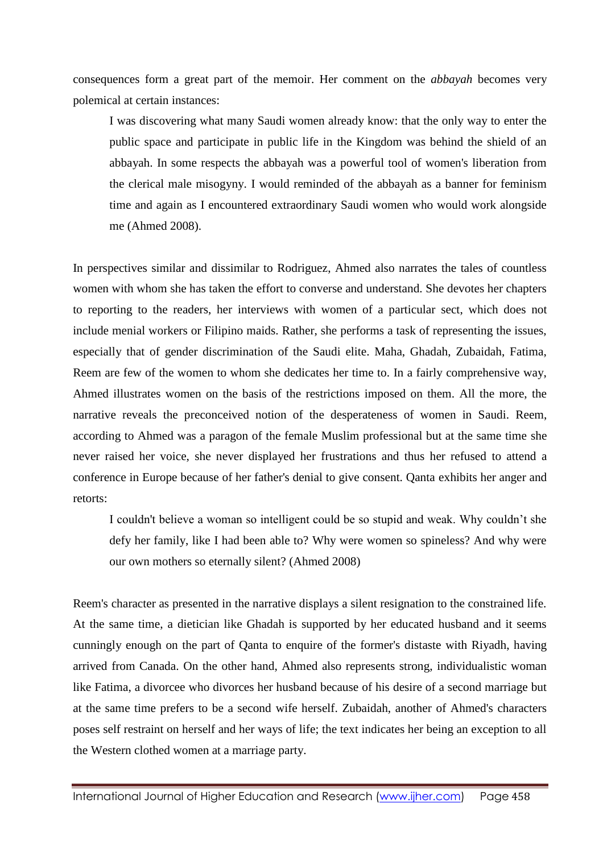consequences form a great part of the memoir. Her comment on the *abbayah* becomes very polemical at certain instances:

I was discovering what many Saudi women already know: that the only way to enter the public space and participate in public life in the Kingdom was behind the shield of an abbayah. In some respects the abbayah was a powerful tool of women's liberation from the clerical male misogyny. I would reminded of the abbayah as a banner for feminism time and again as I encountered extraordinary Saudi women who would work alongside me (Ahmed 2008).

In perspectives similar and dissimilar to Rodriguez, Ahmed also narrates the tales of countless women with whom she has taken the effort to converse and understand. She devotes her chapters to reporting to the readers, her interviews with women of a particular sect, which does not include menial workers or Filipino maids. Rather, she performs a task of representing the issues, especially that of gender discrimination of the Saudi elite. Maha, Ghadah, Zubaidah, Fatima, Reem are few of the women to whom she dedicates her time to. In a fairly comprehensive way, Ahmed illustrates women on the basis of the restrictions imposed on them. All the more, the narrative reveals the preconceived notion of the desperateness of women in Saudi. Reem, according to Ahmed was a paragon of the female Muslim professional but at the same time she never raised her voice, she never displayed her frustrations and thus her refused to attend a conference in Europe because of her father's denial to give consent. Qanta exhibits her anger and retorts:

I couldn't believe a woman so intelligent could be so stupid and weak. Why couldn't she defy her family, like I had been able to? Why were women so spineless? And why were our own mothers so eternally silent? (Ahmed 2008)

Reem's character as presented in the narrative displays a silent resignation to the constrained life. At the same time, a dietician like Ghadah is supported by her educated husband and it seems cunningly enough on the part of Qanta to enquire of the former's distaste with Riyadh, having arrived from Canada. On the other hand, Ahmed also represents strong, individualistic woman like Fatima, a divorcee who divorces her husband because of his desire of a second marriage but at the same time prefers to be a second wife herself. Zubaidah, another of Ahmed's characters poses self restraint on herself and her ways of life; the text indicates her being an exception to all the Western clothed women at a marriage party.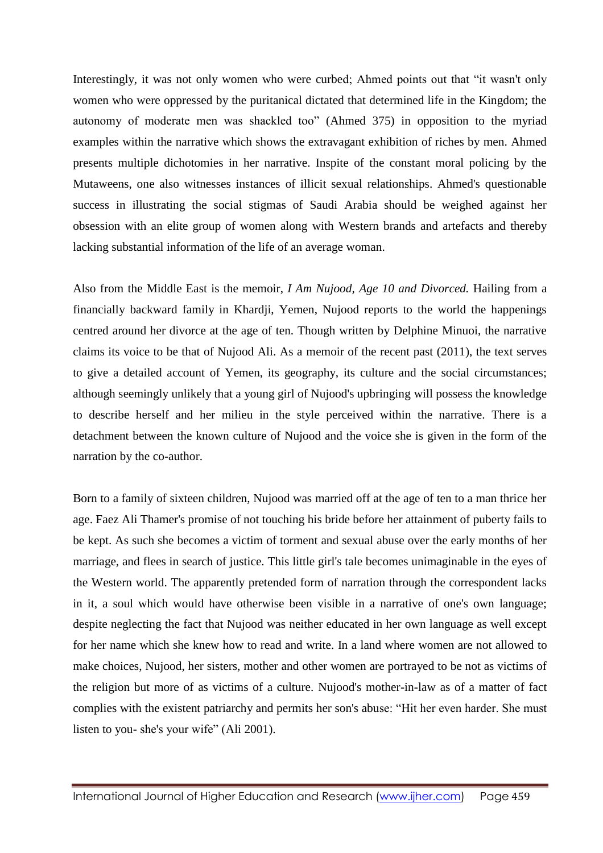Interestingly, it was not only women who were curbed; Ahmed points out that "it wasn't only women who were oppressed by the puritanical dictated that determined life in the Kingdom; the autonomy of moderate men was shackled too" (Ahmed 375) in opposition to the myriad examples within the narrative which shows the extravagant exhibition of riches by men. Ahmed presents multiple dichotomies in her narrative. Inspite of the constant moral policing by the Mutaweens, one also witnesses instances of illicit sexual relationships. Ahmed's questionable success in illustrating the social stigmas of Saudi Arabia should be weighed against her obsession with an elite group of women along with Western brands and artefacts and thereby lacking substantial information of the life of an average woman.

Also from the Middle East is the memoir, *I Am Nujood, Age 10 and Divorced.* Hailing from a financially backward family in Khardji, Yemen, Nujood reports to the world the happenings centred around her divorce at the age of ten. Though written by Delphine Minuoi, the narrative claims its voice to be that of Nujood Ali. As a memoir of the recent past (2011), the text serves to give a detailed account of Yemen, its geography, its culture and the social circumstances; although seemingly unlikely that a young girl of Nujood's upbringing will possess the knowledge to describe herself and her milieu in the style perceived within the narrative. There is a detachment between the known culture of Nujood and the voice she is given in the form of the narration by the co-author.

Born to a family of sixteen children, Nujood was married off at the age of ten to a man thrice her age. Faez Ali Thamer's promise of not touching his bride before her attainment of puberty fails to be kept. As such she becomes a victim of torment and sexual abuse over the early months of her marriage, and flees in search of justice. This little girl's tale becomes unimaginable in the eyes of the Western world. The apparently pretended form of narration through the correspondent lacks in it, a soul which would have otherwise been visible in a narrative of one's own language; despite neglecting the fact that Nujood was neither educated in her own language as well except for her name which she knew how to read and write. In a land where women are not allowed to make choices, Nujood, her sisters, mother and other women are portrayed to be not as victims of the religion but more of as victims of a culture. Nujood's mother-in-law as of a matter of fact complies with the existent patriarchy and permits her son's abuse: "Hit her even harder. She must listen to you- she's your wife" (Ali 2001).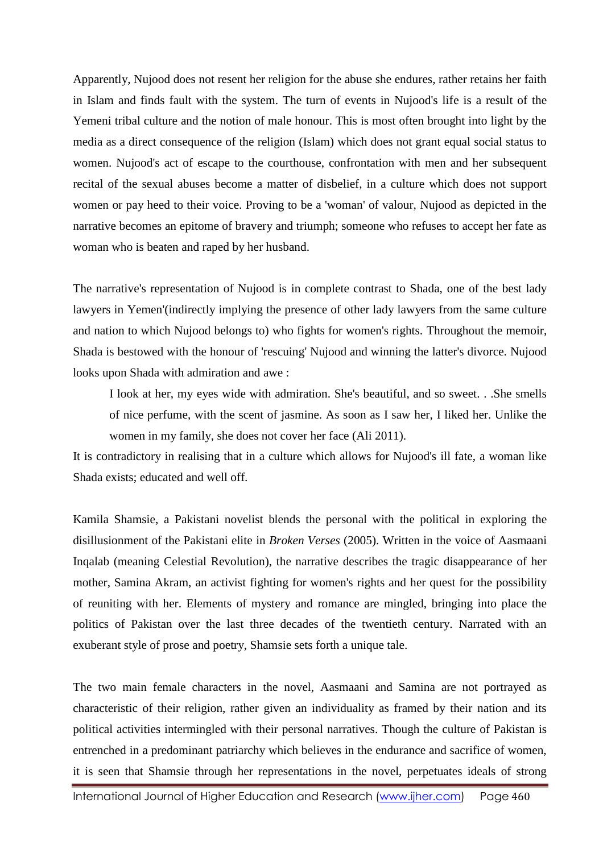Apparently, Nujood does not resent her religion for the abuse she endures, rather retains her faith in Islam and finds fault with the system. The turn of events in Nujood's life is a result of the Yemeni tribal culture and the notion of male honour. This is most often brought into light by the media as a direct consequence of the religion (Islam) which does not grant equal social status to women. Nujood's act of escape to the courthouse, confrontation with men and her subsequent recital of the sexual abuses become a matter of disbelief, in a culture which does not support women or pay heed to their voice. Proving to be a 'woman' of valour, Nujood as depicted in the narrative becomes an epitome of bravery and triumph; someone who refuses to accept her fate as woman who is beaten and raped by her husband.

The narrative's representation of Nujood is in complete contrast to Shada, one of the best lady lawyers in Yemen'(indirectly implying the presence of other lady lawyers from the same culture and nation to which Nujood belongs to) who fights for women's rights. Throughout the memoir, Shada is bestowed with the honour of 'rescuing' Nujood and winning the latter's divorce. Nujood looks upon Shada with admiration and awe :

I look at her, my eyes wide with admiration. She's beautiful, and so sweet. . .She smells of nice perfume, with the scent of jasmine. As soon as I saw her, I liked her. Unlike the women in my family, she does not cover her face (Ali 2011).

It is contradictory in realising that in a culture which allows for Nujood's ill fate, a woman like Shada exists; educated and well off.

Kamila Shamsie, a Pakistani novelist blends the personal with the political in exploring the disillusionment of the Pakistani elite in *Broken Verses* (2005). Written in the voice of Aasmaani Inqalab (meaning Celestial Revolution), the narrative describes the tragic disappearance of her mother, Samina Akram, an activist fighting for women's rights and her quest for the possibility of reuniting with her. Elements of mystery and romance are mingled, bringing into place the politics of Pakistan over the last three decades of the twentieth century. Narrated with an exuberant style of prose and poetry, Shamsie sets forth a unique tale.

The two main female characters in the novel, Aasmaani and Samina are not portrayed as characteristic of their religion, rather given an individuality as framed by their nation and its political activities intermingled with their personal narratives. Though the culture of Pakistan is entrenched in a predominant patriarchy which believes in the endurance and sacrifice of women, it is seen that Shamsie through her representations in the novel, perpetuates ideals of strong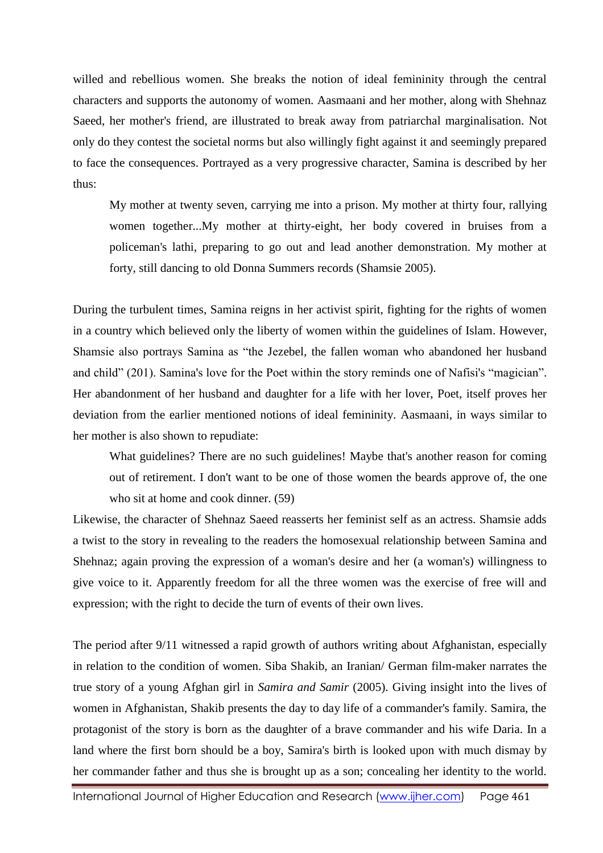willed and rebellious women. She breaks the notion of ideal femininity through the central characters and supports the autonomy of women. Aasmaani and her mother, along with Shehnaz Saeed, her mother's friend, are illustrated to break away from patriarchal marginalisation. Not only do they contest the societal norms but also willingly fight against it and seemingly prepared to face the consequences. Portrayed as a very progressive character, Samina is described by her thus:

My mother at twenty seven, carrying me into a prison. My mother at thirty four, rallying women together...My mother at thirty-eight, her body covered in bruises from a policeman's lathi, preparing to go out and lead another demonstration. My mother at forty, still dancing to old Donna Summers records (Shamsie 2005).

During the turbulent times, Samina reigns in her activist spirit, fighting for the rights of women in a country which believed only the liberty of women within the guidelines of Islam. However, Shamsie also portrays Samina as "the Jezebel, the fallen woman who abandoned her husband and child" (201). Samina's love for the Poet within the story reminds one of Nafisi's "magician". Her abandonment of her husband and daughter for a life with her lover, Poet, itself proves her deviation from the earlier mentioned notions of ideal femininity. Aasmaani, in ways similar to her mother is also shown to repudiate:

What guidelines? There are no such guidelines! Maybe that's another reason for coming out of retirement. I don't want to be one of those women the beards approve of, the one who sit at home and cook dinner. (59)

Likewise, the character of Shehnaz Saeed reasserts her feminist self as an actress. Shamsie adds a twist to the story in revealing to the readers the homosexual relationship between Samina and Shehnaz; again proving the expression of a woman's desire and her (a woman's) willingness to give voice to it. Apparently freedom for all the three women was the exercise of free will and expression; with the right to decide the turn of events of their own lives.

The period after 9/11 witnessed a rapid growth of authors writing about Afghanistan, especially in relation to the condition of women. Siba Shakib, an Iranian/ German film-maker narrates the true story of a young Afghan girl in *Samira and Samir* (2005). Giving insight into the lives of women in Afghanistan, Shakib presents the day to day life of a commander's family. Samira, the protagonist of the story is born as the daughter of a brave commander and his wife Daria. In a land where the first born should be a boy, Samira's birth is looked upon with much dismay by her commander father and thus she is brought up as a son; concealing her identity to the world.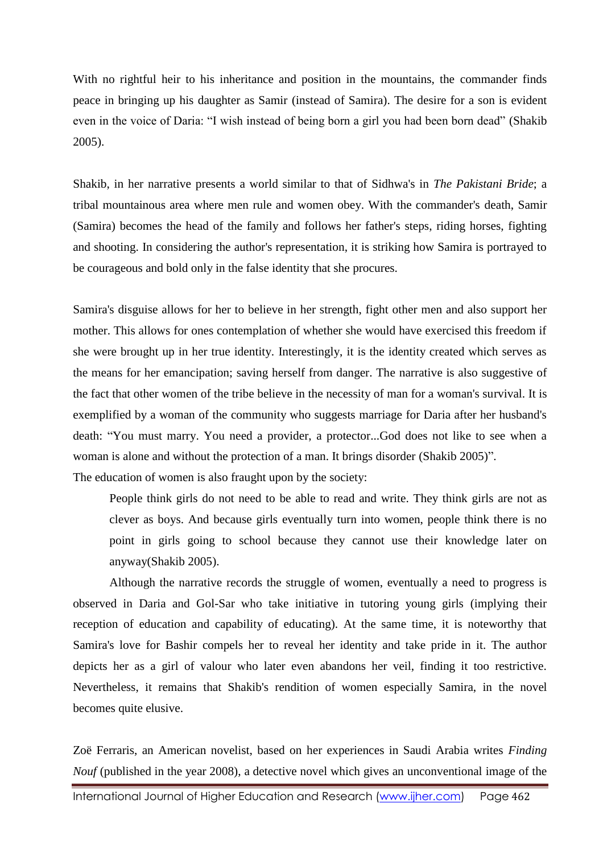With no rightful heir to his inheritance and position in the mountains, the commander finds peace in bringing up his daughter as Samir (instead of Samira). The desire for a son is evident even in the voice of Daria: "I wish instead of being born a girl you had been born dead" (Shakib 2005).

Shakib, in her narrative presents a world similar to that of Sidhwa's in *The Pakistani Bride*; a tribal mountainous area where men rule and women obey. With the commander's death, Samir (Samira) becomes the head of the family and follows her father's steps, riding horses, fighting and shooting. In considering the author's representation, it is striking how Samira is portrayed to be courageous and bold only in the false identity that she procures.

Samira's disguise allows for her to believe in her strength, fight other men and also support her mother. This allows for ones contemplation of whether she would have exercised this freedom if she were brought up in her true identity. Interestingly, it is the identity created which serves as the means for her emancipation; saving herself from danger. The narrative is also suggestive of the fact that other women of the tribe believe in the necessity of man for a woman's survival. It is exemplified by a woman of the community who suggests marriage for Daria after her husband's death: "You must marry. You need a provider, a protector...God does not like to see when a woman is alone and without the protection of a man. It brings disorder (Shakib 2005)". The education of women is also fraught upon by the society:

People think girls do not need to be able to read and write. They think girls are not as clever as boys. And because girls eventually turn into women, people think there is no point in girls going to school because they cannot use their knowledge later on anyway(Shakib 2005).

Although the narrative records the struggle of women, eventually a need to progress is observed in Daria and Gol-Sar who take initiative in tutoring young girls (implying their reception of education and capability of educating). At the same time, it is noteworthy that Samira's love for Bashir compels her to reveal her identity and take pride in it. The author depicts her as a girl of valour who later even abandons her veil, finding it too restrictive. Nevertheless, it remains that Shakib's rendition of women especially Samira, in the novel becomes quite elusive.

Zoë Ferraris, an American novelist, based on her experiences in Saudi Arabia writes *Finding Nouf* (published in the year 2008), a detective novel which gives an unconventional image of the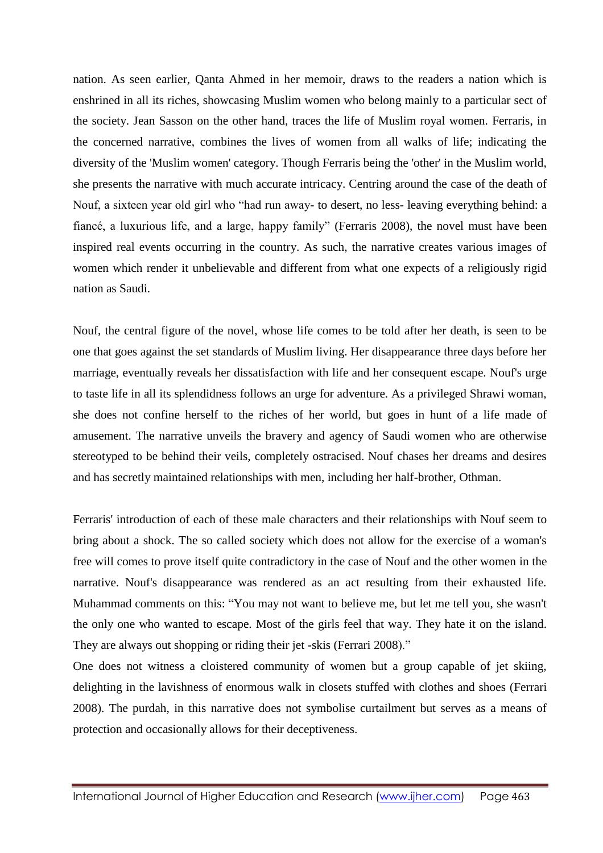nation. As seen earlier, Qanta Ahmed in her memoir, draws to the readers a nation which is enshrined in all its riches, showcasing Muslim women who belong mainly to a particular sect of the society. Jean Sasson on the other hand, traces the life of Muslim royal women. Ferraris, in the concerned narrative, combines the lives of women from all walks of life; indicating the diversity of the 'Muslim women' category. Though Ferraris being the 'other' in the Muslim world, she presents the narrative with much accurate intricacy. Centring around the case of the death of Nouf, a sixteen year old girl who "had run away- to desert, no less- leaving everything behind: a fiancé, a luxurious life, and a large, happy family" (Ferraris 2008), the novel must have been inspired real events occurring in the country. As such, the narrative creates various images of women which render it unbelievable and different from what one expects of a religiously rigid nation as Saudi.

Nouf, the central figure of the novel, whose life comes to be told after her death, is seen to be one that goes against the set standards of Muslim living. Her disappearance three days before her marriage, eventually reveals her dissatisfaction with life and her consequent escape. Nouf's urge to taste life in all its splendidness follows an urge for adventure. As a privileged Shrawi woman, she does not confine herself to the riches of her world, but goes in hunt of a life made of amusement. The narrative unveils the bravery and agency of Saudi women who are otherwise stereotyped to be behind their veils, completely ostracised. Nouf chases her dreams and desires and has secretly maintained relationships with men, including her half-brother, Othman.

Ferraris' introduction of each of these male characters and their relationships with Nouf seem to bring about a shock. The so called society which does not allow for the exercise of a woman's free will comes to prove itself quite contradictory in the case of Nouf and the other women in the narrative. Nouf's disappearance was rendered as an act resulting from their exhausted life. Muhammad comments on this: "You may not want to believe me, but let me tell you, she wasn't the only one who wanted to escape. Most of the girls feel that way. They hate it on the island. They are always out shopping or riding their jet -skis (Ferrari 2008)."

One does not witness a cloistered community of women but a group capable of jet skiing, delighting in the lavishness of enormous walk in closets stuffed with clothes and shoes (Ferrari 2008). The purdah, in this narrative does not symbolise curtailment but serves as a means of protection and occasionally allows for their deceptiveness.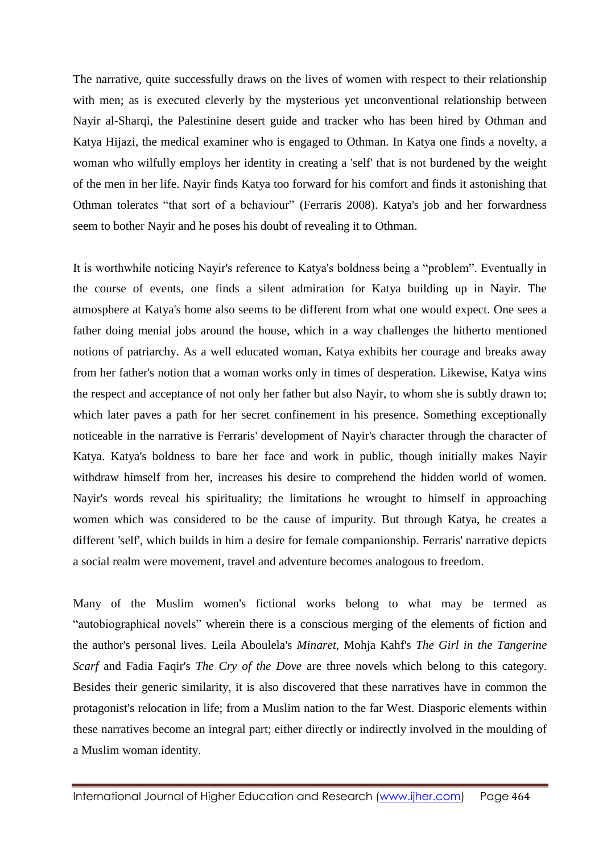The narrative, quite successfully draws on the lives of women with respect to their relationship with men; as is executed cleverly by the mysterious yet unconventional relationship between Nayir al-Sharqi, the Palestinine desert guide and tracker who has been hired by Othman and Katya Hijazi, the medical examiner who is engaged to Othman. In Katya one finds a novelty, a woman who wilfully employs her identity in creating a 'self' that is not burdened by the weight of the men in her life. Nayir finds Katya too forward for his comfort and finds it astonishing that Othman tolerates "that sort of a behaviour" (Ferraris 2008). Katya's job and her forwardness seem to bother Nayir and he poses his doubt of revealing it to Othman.

It is worthwhile noticing Nayir's reference to Katya's boldness being a "problem". Eventually in the course of events, one finds a silent admiration for Katya building up in Nayir. The atmosphere at Katya's home also seems to be different from what one would expect. One sees a father doing menial jobs around the house, which in a way challenges the hitherto mentioned notions of patriarchy. As a well educated woman, Katya exhibits her courage and breaks away from her father's notion that a woman works only in times of desperation. Likewise, Katya wins the respect and acceptance of not only her father but also Nayir, to whom she is subtly drawn to; which later paves a path for her secret confinement in his presence. Something exceptionally noticeable in the narrative is Ferraris' development of Nayir's character through the character of Katya. Katya's boldness to bare her face and work in public, though initially makes Nayir withdraw himself from her, increases his desire to comprehend the hidden world of women. Nayir's words reveal his spirituality; the limitations he wrought to himself in approaching women which was considered to be the cause of impurity. But through Katya, he creates a different 'self', which builds in him a desire for female companionship. Ferraris' narrative depicts a social realm were movement, travel and adventure becomes analogous to freedom.

Many of the Muslim women's fictional works belong to what may be termed as "autobiographical novels" wherein there is a conscious merging of the elements of fiction and the author's personal lives. Leila Aboulela's *Minaret*, Mohja Kahf's *The Girl in the Tangerine Scarf* and Fadia Faqir's *The Cry of the Dove* are three novels which belong to this category. Besides their generic similarity, it is also discovered that these narratives have in common the protagonist's relocation in life; from a Muslim nation to the far West. Diasporic elements within these narratives become an integral part; either directly or indirectly involved in the moulding of a Muslim woman identity.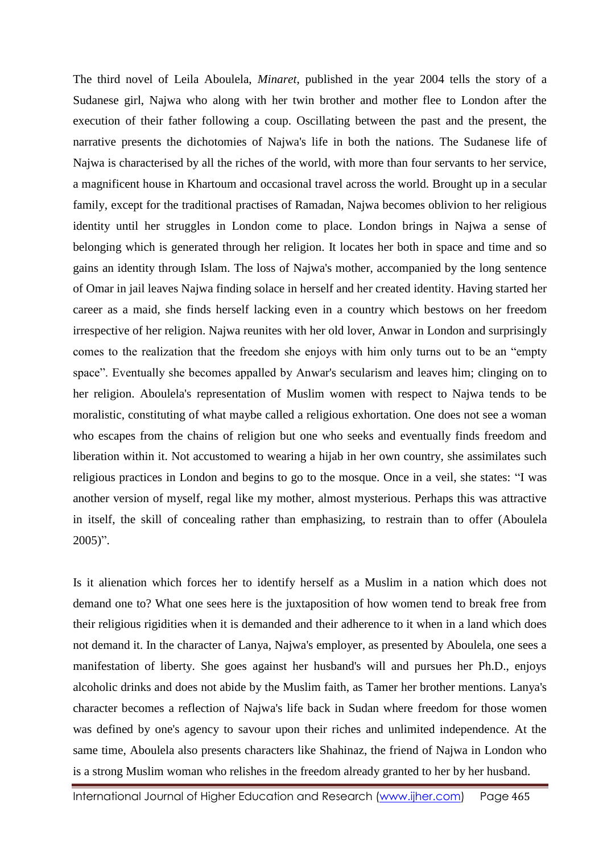The third novel of Leila Aboulela, *Minaret*, published in the year 2004 tells the story of a Sudanese girl, Najwa who along with her twin brother and mother flee to London after the execution of their father following a coup. Oscillating between the past and the present, the narrative presents the dichotomies of Najwa's life in both the nations. The Sudanese life of Najwa is characterised by all the riches of the world, with more than four servants to her service, a magnificent house in Khartoum and occasional travel across the world. Brought up in a secular family, except for the traditional practises of Ramadan, Najwa becomes oblivion to her religious identity until her struggles in London come to place. London brings in Najwa a sense of belonging which is generated through her religion. It locates her both in space and time and so gains an identity through Islam. The loss of Najwa's mother, accompanied by the long sentence of Omar in jail leaves Najwa finding solace in herself and her created identity. Having started her career as a maid, she finds herself lacking even in a country which bestows on her freedom irrespective of her religion. Najwa reunites with her old lover, Anwar in London and surprisingly comes to the realization that the freedom she enjoys with him only turns out to be an "empty space". Eventually she becomes appalled by Anwar's secularism and leaves him; clinging on to her religion. Aboulela's representation of Muslim women with respect to Najwa tends to be moralistic, constituting of what maybe called a religious exhortation. One does not see a woman who escapes from the chains of religion but one who seeks and eventually finds freedom and liberation within it. Not accustomed to wearing a hijab in her own country, she assimilates such religious practices in London and begins to go to the mosque. Once in a veil, she states: "I was another version of myself, regal like my mother, almost mysterious. Perhaps this was attractive in itself, the skill of concealing rather than emphasizing, to restrain than to offer (Aboulela 2005)".

Is it alienation which forces her to identify herself as a Muslim in a nation which does not demand one to? What one sees here is the juxtaposition of how women tend to break free from their religious rigidities when it is demanded and their adherence to it when in a land which does not demand it. In the character of Lanya, Najwa's employer, as presented by Aboulela, one sees a manifestation of liberty. She goes against her husband's will and pursues her Ph.D., enjoys alcoholic drinks and does not abide by the Muslim faith, as Tamer her brother mentions. Lanya's character becomes a reflection of Najwa's life back in Sudan where freedom for those women was defined by one's agency to savour upon their riches and unlimited independence. At the same time, Aboulela also presents characters like Shahinaz, the friend of Najwa in London who is a strong Muslim woman who relishes in the freedom already granted to her by her husband.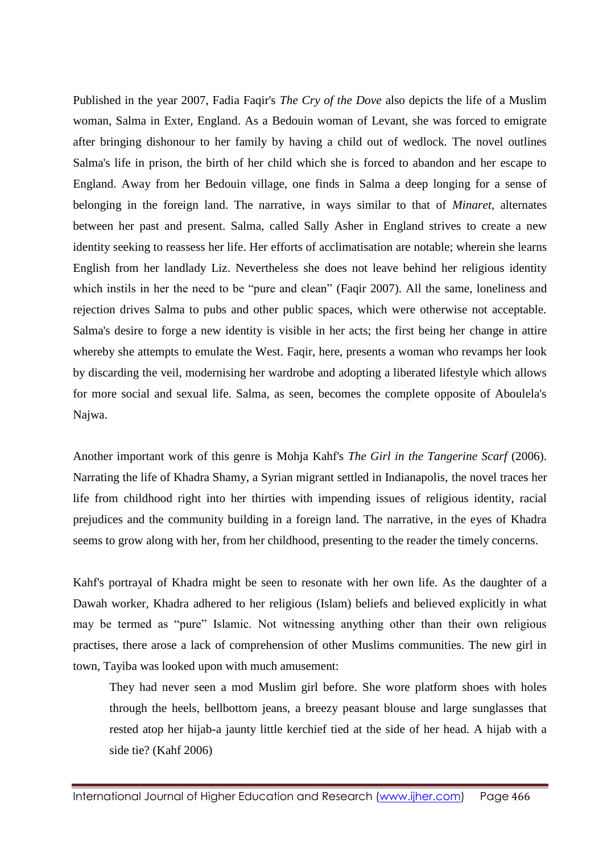Published in the year 2007, Fadia Faqir's *The Cry of the Dove* also depicts the life of a Muslim woman, Salma in Exter, England. As a Bedouin woman of Levant, she was forced to emigrate after bringing dishonour to her family by having a child out of wedlock. The novel outlines Salma's life in prison, the birth of her child which she is forced to abandon and her escape to England. Away from her Bedouin village, one finds in Salma a deep longing for a sense of belonging in the foreign land. The narrative, in ways similar to that of *Minaret*, alternates between her past and present. Salma, called Sally Asher in England strives to create a new identity seeking to reassess her life. Her efforts of acclimatisation are notable; wherein she learns English from her landlady Liz. Nevertheless she does not leave behind her religious identity which instils in her the need to be "pure and clean" (Faqir 2007). All the same, loneliness and rejection drives Salma to pubs and other public spaces, which were otherwise not acceptable. Salma's desire to forge a new identity is visible in her acts; the first being her change in attire whereby she attempts to emulate the West. Faqir, here, presents a woman who revamps her look by discarding the veil, modernising her wardrobe and adopting a liberated lifestyle which allows for more social and sexual life. Salma, as seen, becomes the complete opposite of Aboulela's Najwa.

Another important work of this genre is Mohja Kahf's *The Girl in the Tangerine Scarf* (2006). Narrating the life of Khadra Shamy, a Syrian migrant settled in Indianapolis, the novel traces her life from childhood right into her thirties with impending issues of religious identity, racial prejudices and the community building in a foreign land. The narrative, in the eyes of Khadra seems to grow along with her, from her childhood, presenting to the reader the timely concerns.

Kahf's portrayal of Khadra might be seen to resonate with her own life. As the daughter of a Dawah worker, Khadra adhered to her religious (Islam) beliefs and believed explicitly in what may be termed as "pure" Islamic. Not witnessing anything other than their own religious practises, there arose a lack of comprehension of other Muslims communities. The new girl in town, Tayiba was looked upon with much amusement:

They had never seen a mod Muslim girl before. She wore platform shoes with holes through the heels, bellbottom jeans, a breezy peasant blouse and large sunglasses that rested atop her hijab-a jaunty little kerchief tied at the side of her head. A hijab with a side tie? (Kahf 2006)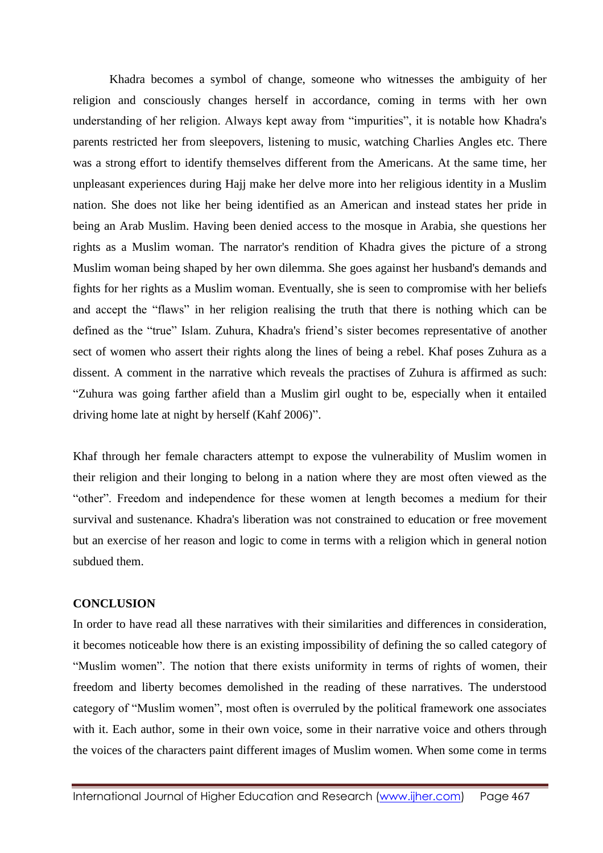Khadra becomes a symbol of change, someone who witnesses the ambiguity of her religion and consciously changes herself in accordance, coming in terms with her own understanding of her religion. Always kept away from "impurities", it is notable how Khadra's parents restricted her from sleepovers, listening to music, watching Charlies Angles etc. There was a strong effort to identify themselves different from the Americans. At the same time, her unpleasant experiences during Hajj make her delve more into her religious identity in a Muslim nation. She does not like her being identified as an American and instead states her pride in being an Arab Muslim. Having been denied access to the mosque in Arabia, she questions her rights as a Muslim woman. The narrator's rendition of Khadra gives the picture of a strong Muslim woman being shaped by her own dilemma. She goes against her husband's demands and fights for her rights as a Muslim woman. Eventually, she is seen to compromise with her beliefs and accept the "flaws" in her religion realising the truth that there is nothing which can be defined as the "true" Islam. Zuhura, Khadra's friend's sister becomes representative of another sect of women who assert their rights along the lines of being a rebel. Khaf poses Zuhura as a dissent. A comment in the narrative which reveals the practises of Zuhura is affirmed as such: "Zuhura was going farther afield than a Muslim girl ought to be, especially when it entailed driving home late at night by herself (Kahf 2006)".

Khaf through her female characters attempt to expose the vulnerability of Muslim women in their religion and their longing to belong in a nation where they are most often viewed as the "other". Freedom and independence for these women at length becomes a medium for their survival and sustenance. Khadra's liberation was not constrained to education or free movement but an exercise of her reason and logic to come in terms with a religion which in general notion subdued them.

#### **CONCLUSION**

In order to have read all these narratives with their similarities and differences in consideration, it becomes noticeable how there is an existing impossibility of defining the so called category of "Muslim women". The notion that there exists uniformity in terms of rights of women, their freedom and liberty becomes demolished in the reading of these narratives. The understood category of "Muslim women", most often is overruled by the political framework one associates with it. Each author, some in their own voice, some in their narrative voice and others through the voices of the characters paint different images of Muslim women. When some come in terms